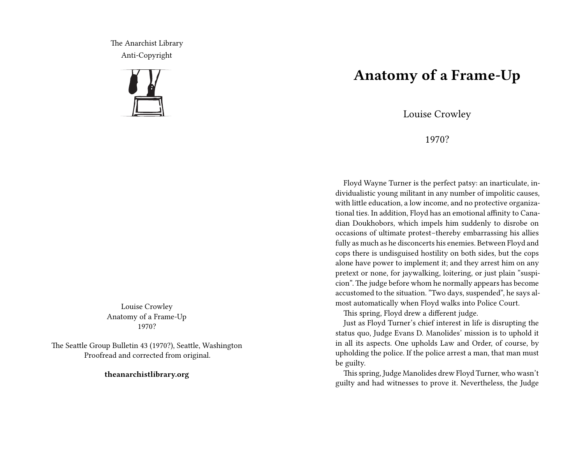The Anarchist Library Anti-Copyright



Louise Crowley Anatomy of a Frame-Up 1970?

The Seattle Group Bulletin 43 (1970?), Seattle, Washington Proofread and corrected from original.

**theanarchistlibrary.org**

## **Anatomy of a Frame-Up**

Louise Crowley

1970?

Floyd Wayne Turner is the perfect patsy: an inarticulate, individualistic young militant in any number of impolitic causes, with little education, a low income, and no protective organizational ties. In addition, Floyd has an emotional affinity to Canadian Doukhobors, which impels him suddenly to disrobe on occasions of ultimate protest–thereby embarrassing his allies fully as much as he disconcerts his enemies. Between Floyd and cops there is undisguised hostility on both sides, but the cops alone have power to implement it; and they arrest him on any pretext or none, for jaywalking, loitering, or just plain "suspicion". The judge before whom he normally appears has become accustomed to the situation. "Two days, suspended", he says almost automatically when Floyd walks into Police Court.

This spring, Floyd drew a different judge.

Just as Floyd Turner's chief interest in life is disrupting the status quo, Judge Evans D. Manolides' mission is to uphold it in all its aspects. One upholds Law and Order, of course, by upholding the police. If the police arrest a man, that man must be guilty.

This spring, Judge Manolides drew Floyd Turner, who wasn't guilty and had witnesses to prove it. Nevertheless, the Judge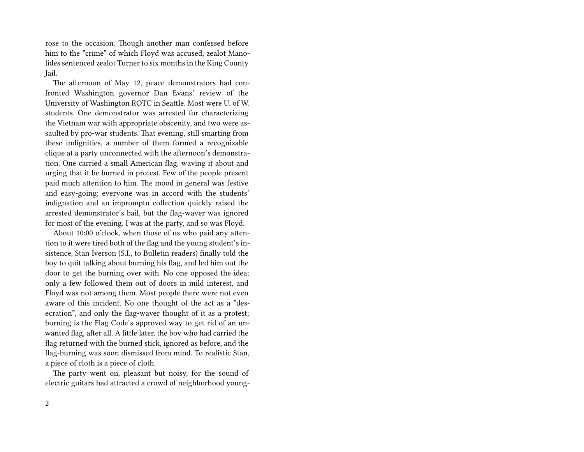rose to the occasion. Though another man confessed before him to the "crime" of which Floyd was accused, zealot Manolides sentenced zealot Turner to six months in the King County Jail.

The afternoon of May 12, peace demonstrators had confronted Washington governor Dan Evans' review of the University of Washington ROTC in Seattle. Most were U. of W. students. One demonstrator was arrested for characterizing the Vietnam war with appropriate obscenity, and two were assaulted by pro-war students. That evening, still smarting from these indignities, a number of them formed a recognizable clique at a party unconnected with the afternoon's demonstration. One carried a small American flag, waving it about and urging that it be burned in protest. Few of the people present paid much attention to him. The mood in general was festive and easy-going; everyone was in accord with the students' indignation and an impromptu collection quickly raised the arrested demonstrator's bail, but the flag-waver was ignored for most of the evening. I was at the party, and so was Floyd.

About 10:00 o'clock, when those of us who paid any attention to it were tired both of the flag and the young student's insistence, Stan Iverson (S.I., to Bulletin readers) finally told the boy to quit talking about burning his flag, and led him out the door to get the burning over with. No one opposed the idea; only a few followed them out of doors in mild interest, and Floyd was not among them. Most people there were not even aware of this incident. No one thought of the act as a "desecration", and only the flag-waver thought of it as a protest; burning is the Flag Code's approved way to get rid of an unwanted flag, after all. A little later, the boy who had carried the flag returned with the burned stick, ignored as before, and the flag-burning was soon dismissed from mind. To realistic Stan, a piece of cloth is a piece of cloth.

The party went on, pleasant but noisy, for the sound of electric guitars had attracted a crowd of neighborhood young-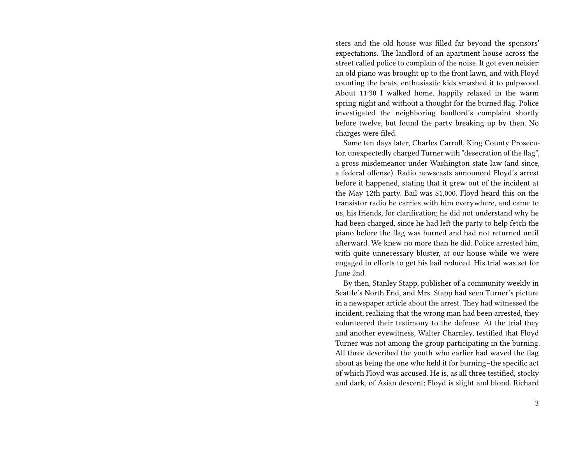sters and the old house was filled far beyond the sponsors' expectations. The landlord of an apartment house across the street called police to complain of the noise. It got even noisier: an old piano was brought up to the front lawn, and with Floyd counting the beats, enthusiastic kids smashed it to pulpwood. About 11:30 I walked home, happily relaxed in the warm spring night and without a thought for the burned flag. Police investigated the neighboring landlord's complaint shortly before twelve, but found the party breaking up by then. No charges were filed.

Some ten days later, Charles Carroll, King County Prosecutor, unexpectedly charged Turner with "desecration of the flag", a gross misdemeanor under Washington state law (and since, a federal offense). Radio newscasts announced Floyd's arrest before it happened, stating that it grew out of the incident at the May 12th party. Bail was \$1,000. Floyd heard this on the transistor radio he carries with him everywhere, and came to us, his friends, for clarification; he did not understand why he had been charged, since he had left the party to help fetch the piano before the flag was burned and had not returned until afterward. We knew no more than he did. Police arrested him, with quite unnecessary bluster, at our house while we were engaged in efforts to get his bail reduced. His trial was set for June 2nd.

By then, Stanley Stapp, publisher of a community weekly in Seattle's North End, and Mrs. Stapp had seen Turner's picture in a newspaper article about the arrest. They had witnessed the incident, realizing that the wrong man had been arrested, they volunteered their testimony to the defense. At the trial they and another eyewitness, Walter Charnley, testified that Floyd Turner was not among the group participating in the burning. All three described the youth who earlier had waved the flag about as being the one who held it for burning–the specific act of which Floyd was accused. He is, as all three testified, stocky and dark, of Asian descent; Floyd is slight and blond. Richard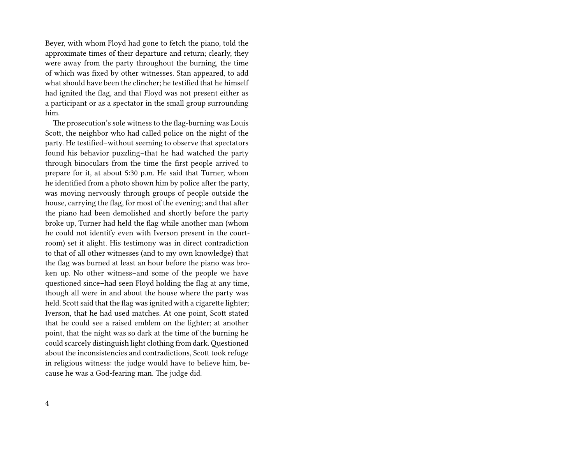Beyer, with whom Floyd had gone to fetch the piano, told the approximate times of their departure and return; clearly, they were away from the party throughout the burning, the time of which was fixed by other witnesses. Stan appeared, to add what should have been the clincher; he testified that he himself had ignited the flag, and that Floyd was not present either as a participant or as a spectator in the small group surrounding him.

The prosecution's sole witness to the flag-burning was Louis Scott, the neighbor who had called police on the night of the party. He testified–without seeming to observe that spectators found his behavior puzzling–that he had watched the party through binoculars from the time the first people arrived to prepare for it, at about 5:30 p.m. He said that Turner, whom he identified from a photo shown him by police after the party, was moving nervously through groups of people outside the house, carrying the flag, for most of the evening; and that after the piano had been demolished and shortly before the party broke up, Turner had held the flag while another man (whom he could not identify even with Iverson present in the courtroom) set it alight. His testimony was in direct contradiction to that of all other witnesses (and to my own knowledge) that the flag was burned at least an hour before the piano was broken up. No other witness–and some of the people we have questioned since–had seen Floyd holding the flag at any time, though all were in and about the house where the party was held. Scott said that the flag was ignited with a cigarette lighter; Iverson, that he had used matches. At one point, Scott stated that he could see a raised emblem on the lighter; at another point, that the night was so dark at the time of the burning he could scarcely distinguish light clothing from dark.Questioned about the inconsistencies and contradictions, Scott took refuge in religious witness: the judge would have to believe him, because he was a God-fearing man. The judge did.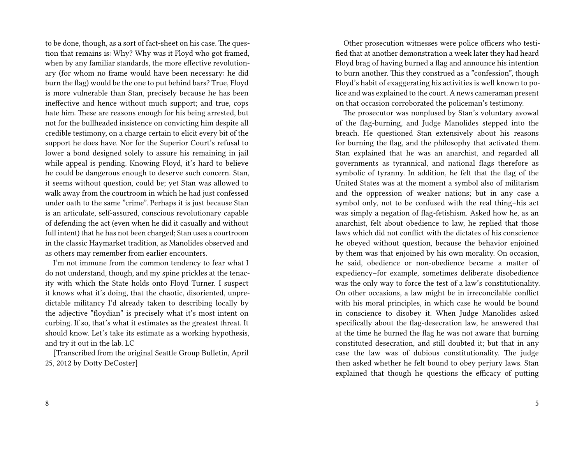to be done, though, as a sort of fact-sheet on his case. The question that remains is: Why? Why was it Floyd who got framed, when by any familiar standards, the more effective revolutionary (for whom no frame would have been necessary: he did burn the flag) would be the one to put behind bars? True, Floyd is more vulnerable than Stan, precisely because he has been ineffective and hence without much support; and true, cops hate him. These are reasons enough for his being arrested, but not for the bullheaded insistence on convicting him despite all credible testimony, on a charge certain to elicit every bit of the support he does have. Nor for the Superior Court's refusal to lower a bond designed solely to assure his remaining in jail while appeal is pending. Knowing Floyd, it's hard to believe he could be dangerous enough to deserve such concern. Stan, it seems without question, could be; yet Stan was allowed to walk away from the courtroom in which he had just confessed under oath to the same "crime". Perhaps it is just because Stan is an articulate, self-assured, conscious revolutionary capable of defending the act (even when he did it casually and without full intent) that he has not been charged; Stan uses a courtroom in the classic Haymarket tradition, as Manolides observed and as others may remember from earlier encounters.

I'm not immune from the common tendency to fear what I do not understand, though, and my spine prickles at the tenacity with which the State holds onto Floyd Turner. I suspect it knows what it's doing, that the chaotic, disoriented, unpredictable militancy I'd already taken to describing locally by the adjective "floydian" is precisely what it's most intent on curbing. If so, that's what it estimates as the greatest threat. It should know. Let's take its estimate as a working hypothesis, and try it out in the lab. LC

[Transcribed from the original Seattle Group Bulletin, April 25, 2012 by Dotty DeCoster]

Other prosecution witnesses were police officers who testified that at another demonstration a week later they had heard Floyd brag of having burned a flag and announce his intention to burn another. This they construed as a "confession", though Floyd's habit of exaggerating his activities is well known to police and was explained to the court. A news cameraman present on that occasion corroborated the policeman's testimony.

The prosecutor was nonplused by Stan's voluntary avowal of the flag-burning, and Judge Manolides stepped into the breach. He questioned Stan extensively about his reasons for burning the flag, and the philosophy that activated them. Stan explained that he was an anarchist, and regarded all governments as tyrannical, and national flags therefore as symbolic of tyranny. In addition, he felt that the flag of the United States was at the moment a symbol also of militarism and the oppression of weaker nations; but in any case a symbol only, not to be confused with the real thing–his act was simply a negation of flag-fetishism. Asked how he, as an anarchist, felt about obedience to law, he replied that those laws which did not conflict with the dictates of his conscience he obeyed without question, because the behavior enjoined by them was that enjoined by his own morality. On occasion, he said, obedience or non-obedience became a matter of expediency–for example, sometimes deliberate disobedience was the only way to force the test of a law's constitutionality. On other occasions, a law might be in irreconcilable conflict with his moral principles, in which case he would be bound in conscience to disobey it. When Judge Manolides asked specifically about the flag-desecration law, he answered that at the time he burned the flag he was not aware that burning constituted desecration, and still doubted it; but that in any case the law was of dubious constitutionality. The judge then asked whether he felt bound to obey perjury laws. Stan explained that though he questions the efficacy of putting